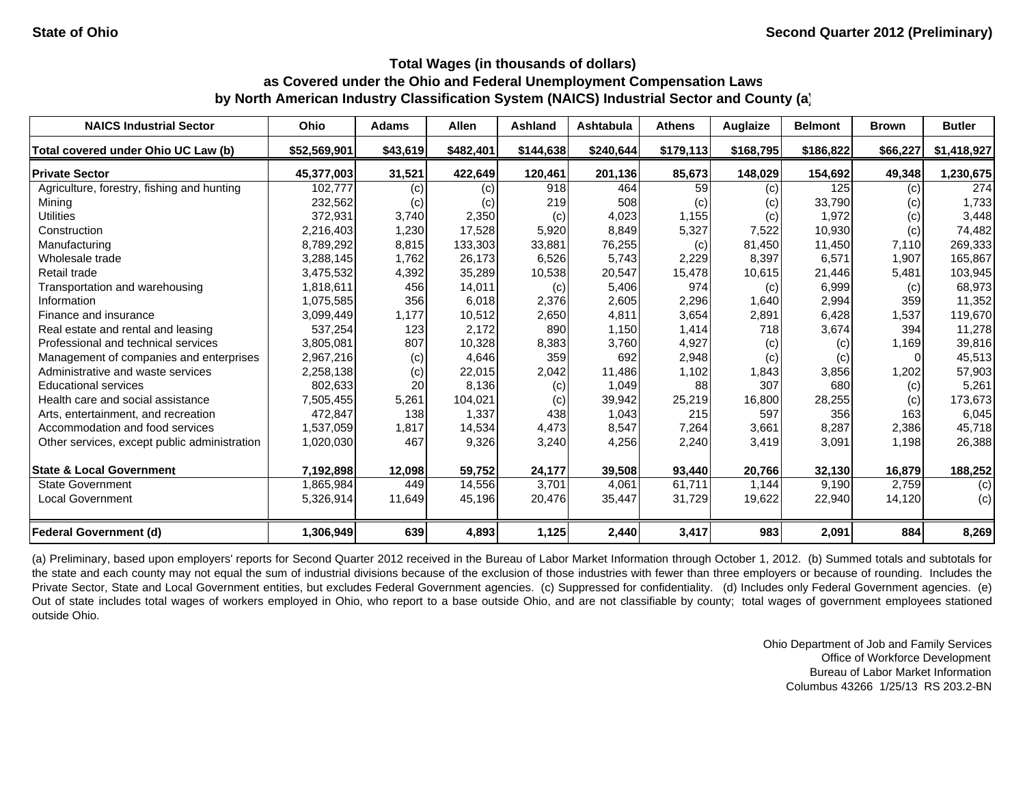| <b>NAICS Industrial Sector</b>               | Ohio         | <b>Adams</b> | <b>Allen</b> | Ashland   | <b>Ashtabula</b> | <b>Athens</b> | Auglaize  | <b>Belmont</b> | <b>Brown</b>               | <b>Butler</b> |
|----------------------------------------------|--------------|--------------|--------------|-----------|------------------|---------------|-----------|----------------|----------------------------|---------------|
| Total covered under Ohio UC Law (b)          | \$52,569,901 | \$43,619     | \$482,401    | \$144,638 | \$240,644        | \$179,113     | \$168,795 | \$186,822      | \$66,227                   | \$1,418,927   |
| <b>Private Sector</b>                        | 45,377,003   | 31,521       | 422,649      | 120,461   | 201,136          | 85,673        | 148,029   | 154,692        | 49,348                     | 1,230,675     |
| Agriculture, forestry, fishing and hunting   | 102,777      | (c)          | (c)          | 918       | 464              | 59            | (c)       | 125            | (c)                        | 274           |
| Mining                                       | 232,562      | (c)          | (c)          | 219       | 508              | (c)           | (c)       | 33,790         | $\left( \mathrm{c}\right)$ | 1,733         |
| <b>Utilities</b>                             | 372,931      | 3,740        | 2,350        | (c)       | 4,023            | 1,155         | (c)       | 1,972          | (c)                        | 3,448         |
| Construction                                 | 2,216,403    | 1,230        | 17,528       | 5,920     | 8.849            | 5,327         | 7,522     | 10,930         | (c)                        | 74,482        |
| Manufacturing                                | 8,789,292    | 8,815        | 133,303      | 33,881    | 76,255           | (c)           | 81,450    | 11,450         | 7,110                      | 269,333       |
| Wholesale trade                              | 3,288,145    | 1,762        | 26,173       | 6,526     | 5.743            | 2,229         | 8,397     | 6,571          | 1,907                      | 165,867       |
| Retail trade                                 | 3,475,532    | 4,392        | 35,289       | 10,538    | 20,547           | 15,478        | 10,615    | 21,446         | 5,481                      | 103,945       |
| Transportation and warehousing               | 1,818,611    | 456          | 14,011       | (c)       | 5,406            | 974           | (c)       | 6,999          | (c)                        | 68,973        |
| Information                                  | 1,075,585    | 356          | 6,018        | 2,376     | 2,605            | 2,296         | 1,640     | 2,994          | 359                        | 11,352        |
| Finance and insurance                        | 3,099,449    | 1,177        | 10,512       | 2,650     | 4,811            | 3,654         | 2,891     | 6,428          | 1,537                      | 119,670       |
| Real estate and rental and leasing           | 537,254      | 123          | 2,172        | 890       | 1,150            | 1,414         | 718       | 3,674          | 394                        | 11,278        |
| Professional and technical services          | 3,805,081    | 807          | 10,328       | 8,383     | 3.760            | 4,927         | (c)       | (c)            | 1,169                      | 39,816        |
| Management of companies and enterprises      | 2,967,216    | (c)          | 4,646        | 359       | 692              | 2,948         | (c)       | (c)            | 0                          | 45,513        |
| Administrative and waste services            | 2,258,138    | (c)          | 22,015       | 2,042     | 11,486           | 1,102         | 1,843     | 3,856          | 1,202                      | 57,903        |
| <b>Educational services</b>                  | 802,633      | 20           | 8,136        | (c)       | 1,049            | 88            | 307       | 680            | (c)                        | 5,261         |
| Health care and social assistance            | 7,505,455    | 5,261        | 104,021      | (c)       | 39,942           | 25,219        | 16,800    | 28,255         | (c)                        | 173,673       |
| Arts, entertainment, and recreation          | 472,847      | 138          | 1,337        | 438       | 1,043            | 215           | 597       | 356            | 163                        | 6,045         |
| Accommodation and food services              | 1,537,059    | 1,817        | 14,534       | 4,473     | 8,547            | 7,264         | 3,661     | 8,287          | 2,386                      | 45,718        |
| Other services, except public administration | 1,020,030    | 467          | 9,326        | 3,240     | 4,256            | 2,240         | 3,419     | 3,091          | 1,198                      | 26,388        |
| <b>State &amp; Local Government</b>          | 7,192,898    | 12,098       | 59,752       | 24,177    | 39,508           | 93,440        | 20,766    | 32,130         | 16,879                     | 188,252       |
| <b>State Government</b>                      | 1,865,984    | 449          | 14,556       | 3,701     | 4.061            | 61,711        | 1,144     | 9,190          | 2,759                      | (c)           |
| <b>Local Government</b>                      | 5,326,914    | 11,649       | 45,196       | 20,476    | 35,447           | 31,729        | 19,622    | 22,940         | 14,120                     | (c)           |
| <b>Federal Government (d)</b>                | 1,306,949    | 639          | 4,893        | 1,125     | 2,440            | 3,417         | 983       | 2,091          | 884                        | 8,269         |

(a) Preliminary, based upon employers' reports for Second Quarter 2012 received in the Bureau of Labor Market Information through October 1, 2012. (b) Summed totals and subtotals for the state and each county may not equal the sum of industrial divisions because of the exclusion of those industries with fewer than three employers or because of rounding. Includes the Private Sector, State and Local Government entities, but excludes Federal Government agencies. (c) Suppressed for confidentiality. (d) Includes only Federal Government agencies. (e) Out of state includes total wages of workers employed in Ohio, who report to <sup>a</sup> base outside Ohio, and are not classifiable by county; total wages of government employees stationed outside Ohio.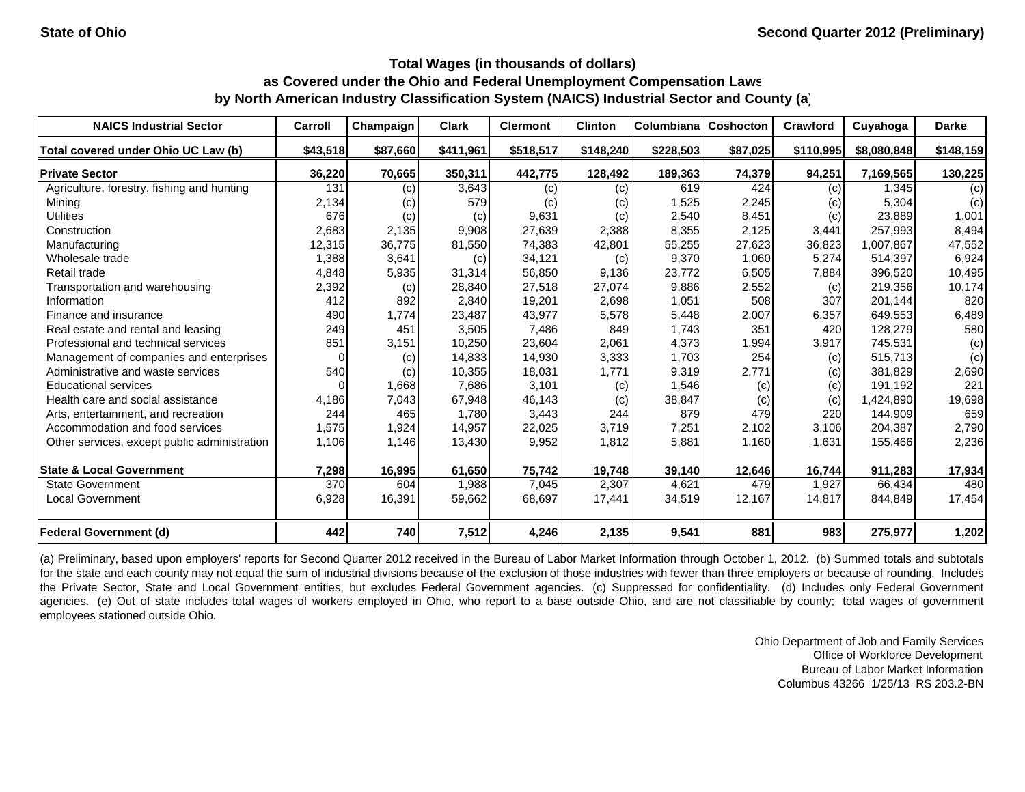| <b>NAICS Industrial Sector</b>               | Carroll  | Champaign | <b>Clark</b> | <b>Clermont</b> | <b>Clinton</b> | <b>Columbiana</b> | <b>Coshocton</b> | <b>Crawford</b> | Cuyahoga    | <b>Darke</b> |
|----------------------------------------------|----------|-----------|--------------|-----------------|----------------|-------------------|------------------|-----------------|-------------|--------------|
| Total covered under Ohio UC Law (b)          | \$43,518 | \$87,660  | \$411,961    | \$518,517       | \$148,240      | \$228,503         | \$87,025         | \$110,995       | \$8,080,848 | \$148,159    |
| <b>Private Sector</b>                        | 36,220   | 70,665    | 350,311      | 442,775         | 128,492        | 189,363           | 74,379           | 94,251          | 7,169,565   | 130,225      |
| Agriculture, forestry, fishing and hunting   | 131      | (c)       | 3,643        | (c)             | (c)            | 619               | 424              | (c)             | 1.345       | (c)          |
| Mining                                       | 2,134    | (c)       | 579          | (c)             | (c)            | 1,525             | 2,245            | (c)             | 5,304       | (c)          |
| <b>Utilities</b>                             | 676      | (c)       | (c)          | 9,631           | (c)            | 2,540             | 8,451            | (c)             | 23,889      | 1,001        |
| Construction                                 | 2,683    | 2,135     | 9,908        | 27,639          | 2,388          | 8,355             | 2,125            | 3,441           | 257,993     | 8,494        |
| Manufacturing                                | 12,315   | 36,775    | 81,550       | 74,383          | 42,801         | 55,255            | 27,623           | 36,823          | 1,007,867   | 47,552       |
| Wholesale trade                              | 1,388    | 3,641     | (c)          | 34,121          | (c)            | 9,370             | 1,060            | 5,274           | 514,397     | 6,924        |
| Retail trade                                 | 4,848    | 5,935     | 31,314       | 56,850          | 9,136          | 23,772            | 6,505            | 7,884           | 396,520     | 10,495       |
| Transportation and warehousing               | 2,392    | (c)       | 28,840       | 27,518          | 27,074         | 9,886             | 2,552            | (c)             | 219,356     | 10,174       |
| Information                                  | 412      | 892       | 2,840        | 19,201          | 2,698          | 1,051             | 508              | 307             | 201,144     | 820          |
| Finance and insurance                        | 490      | 1,774     | 23,487       | 43,977          | 5,578          | 5,448             | 2,007            | 6,357           | 649,553     | 6,489        |
| Real estate and rental and leasing           | 249      | 451       | 3,505        | 7,486           | 849            | 1,743             | 351              | 420             | 128,279     | 580          |
| Professional and technical services          | 851      | 3,151     | 10,250       | 23,604          | 2,061          | 4,373             | 1,994            | 3,917           | 745,531     | (c)          |
| Management of companies and enterprises      | $\Omega$ | (c)       | 14,833       | 14,930          | 3,333          | 1,703             | 254              | (c)             | 515,713     | (c)          |
| Administrative and waste services            | 540      | (c)       | 10,355       | 18,031          | 1,771          | 9,319             | 2,771            | (c)             | 381,829     | 2,690        |
| <b>Educational services</b>                  | 0        | 1,668     | 7,686        | 3,101           | (c)            | 1,546             | (c)              | (c)             | 191,192     | 221          |
| Health care and social assistance            | 4,186    | 7,043     | 67,948       | 46,143          | (c)            | 38,847            | (c)              | (c)             | 1,424,890   | 19,698       |
| Arts, entertainment, and recreation          | 244      | 465       | 1.780        | 3,443           | 244            | 879               | 479              | 220             | 144.909     | 659          |
| Accommodation and food services              | 1,575    | 1,924     | 14,957       | 22,025          | 3,719          | 7,251             | 2,102            | 3,106           | 204,387     | 2,790        |
| Other services, except public administration | 1,106    | 1,146     | 13,430       | 9,952           | 1,812          | 5,881             | 1,160            | 1,631           | 155,466     | 2,236        |
| <b>State &amp; Local Government</b>          | 7,298    | 16,995    | 61,650       | 75,742          | 19,748         | 39,140            | 12,646           | 16,744          | 911,283     | 17,934       |
| <b>State Government</b>                      | 370      | 604       | 1,988        | 7,045           | 2,307          | 4,621             | 479              | 1,927           | 66,434      | 480          |
| <b>Local Government</b>                      | 6,928    | 16,391    | 59,662       | 68,697          | 17,441         | 34,519            | 12,167           | 14,817          | 844,849     | 17,454       |
| <b>Federal Government (d)</b>                | 442      | 740       | 7,512        | 4,246           | 2,135          | 9,541             | 881              | 983             | 275,977     | 1,202        |

(a) Preliminary, based upon employers' reports for Second Quarter 2012 received in the Bureau of Labor Market Information through October 1, 2012. (b) Summed totals and subtotals for the state and each county may not equal the sum of industrial divisions because of the exclusion of those industries with fewer than three employers or because of rounding. Includes the Private Sector, State and Local Government entities, but excludes Federal Government agencies. (c) Suppressed for confidentiality. (d) Includes only Federal Government agencies. (e) Out of state includes total wages of workers employed in Ohio, who report to a base outside Ohio, and are not classifiable by county; total wages of government employees stationed outside Ohio.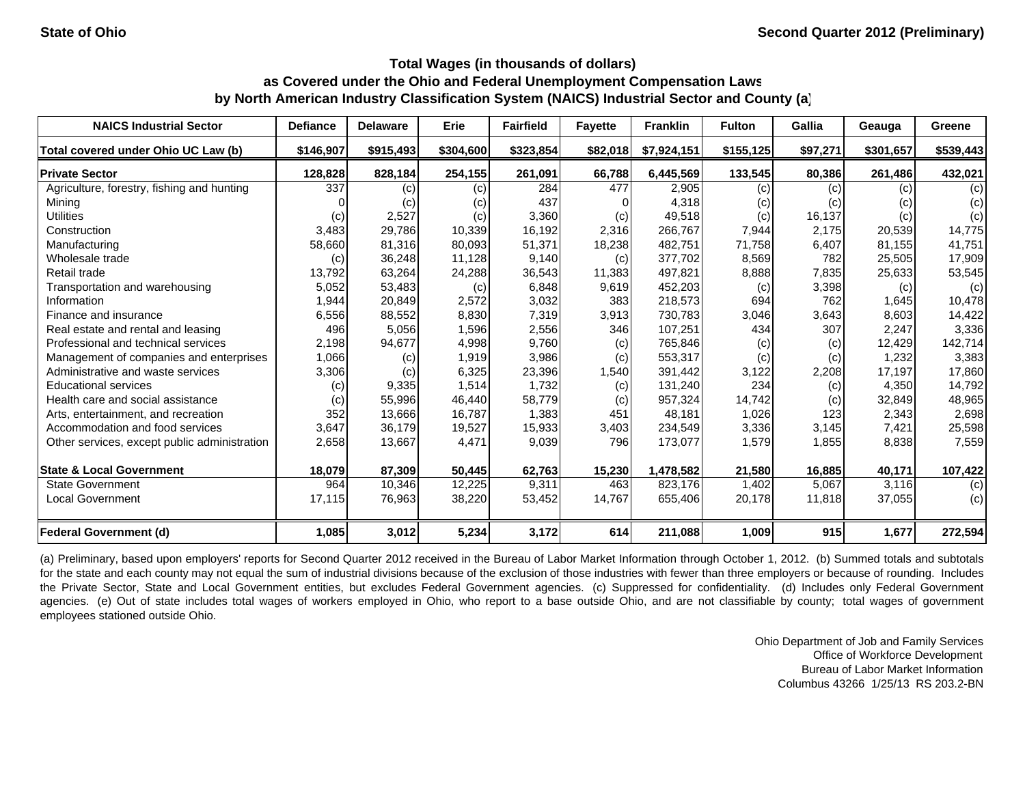| <b>NAICS Industrial Sector</b>               | <b>Defiance</b> | <b>Delaware</b> | Erie      | <b>Fairfield</b> | <b>Fayette</b> | <b>Franklin</b> | <b>Fulton</b> | Gallia   | Geauga    | Greene    |
|----------------------------------------------|-----------------|-----------------|-----------|------------------|----------------|-----------------|---------------|----------|-----------|-----------|
| Total covered under Ohio UC Law (b)          | \$146,907       | \$915,493       | \$304,600 | \$323,854        | \$82,018       | \$7,924,151     | \$155,125     | \$97,271 | \$301,657 | \$539,443 |
| <b>Private Sector</b>                        | 128,828         | 828,184         | 254,155   | 261,091          | 66,788         | 6,445,569       | 133,545       | 80,386   | 261,486   | 432,021   |
| Agriculture, forestry, fishing and hunting   | 337             | (c)             | (c)       | 284              | 477            | 2,905           | (c)           | (c)      | (c)       | (c)       |
| Mining                                       |                 | (c)             | (c)       | 437              |                | 4,318           | (c)           | (c)      | (c)       | (c)       |
| <b>Utilities</b>                             | (c)             | 2,527           | (c)       | 3,360            | (c)            | 49,518          | (c)           | 16,137   | (c)       | (c)       |
| Construction                                 | 3,483           | 29,786          | 10,339    | 16,192           | 2,316          | 266,767         | 7,944         | 2,175    | 20,539    | 14,775    |
| Manufacturing                                | 58,660          | 81,316          | 80,093    | 51,371           | 18,238         | 482,751         | 71,758        | 6,407    | 81.155    | 41,751    |
| Wholesale trade                              | (c)             | 36,248          | 11,128    | 9,140            | (c)            | 377,702         | 8,569         | 782      | 25,505    | 17,909    |
| Retail trade                                 | 13,792          | 63,264          | 24,288    | 36,543           | 11,383         | 497,821         | 8,888         | 7,835    | 25,633    | 53,545    |
| Transportation and warehousing               | 5,052           | 53,483          | (c)       | 6,848            | 9,619          | 452,203         | (c)           | 3,398    | (c)       | (c)       |
| Information                                  | 1,944           | 20,849          | 2,572     | 3,032            | 383            | 218,573         | 694           | 762      | 1,645     | 10,478    |
| Finance and insurance                        | 6,556           | 88,552          | 8,830     | 7,319            | 3,913          | 730,783         | 3,046         | 3,643    | 8,603     | 14,422    |
| Real estate and rental and leasing           | 496             | 5,056           | 1,596     | 2,556            | 346            | 107,251         | 434           | 307      | 2,247     | 3,336     |
| Professional and technical services          | 2,198           | 94,677          | 4,998     | 9,760            | (c)            | 765,846         | (c)           | (c)      | 12,429    | 142,714   |
| Management of companies and enterprises      | 1,066           | (c)             | 1,919     | 3,986            | (c)            | 553,317         | (c)           | (c)      | 1,232     | 3,383     |
| Administrative and waste services            | 3,306           | (c)             | 6,325     | 23,396           | 1,540          | 391,442         | 3,122         | 2,208    | 17,197    | 17,860    |
| <b>Educational services</b>                  | (c)             | 9,335           | 1,514     | 1,732            | (c)            | 131,240         | 234           | (c)      | 4,350     | 14,792    |
| Health care and social assistance            | (c)             | 55,996          | 46,440    | 58,779           | (c)            | 957,324         | 14,742        | (c)      | 32,849    | 48,965    |
| Arts, entertainment, and recreation          | 352             | 13,666          | 16,787    | 1,383            | 451            | 48,181          | 1,026         | 123      | 2,343     | 2,698     |
| Accommodation and food services              | 3,647           | 36,179          | 19,527    | 15,933           | 3,403          | 234,549         | 3,336         | 3,145    | 7,421     | 25,598    |
| Other services, except public administration | 2,658           | 13,667          | 4,471     | 9,039            | 796            | 173,077         | 1,579         | 1,855    | 8,838     | 7,559     |
| <b>State &amp; Local Government</b>          | 18,079          | 87,309          | 50,445    | 62,763           | 15,230         | 1,478,582       | 21,580        | 16,885   | 40,171    | 107,422   |
| <b>State Government</b>                      | 964             | 10,346          | 12,225    | 9,311            | 463            | 823,176         | 1,402         | 5,067    | 3,116     | (c)       |
| <b>Local Government</b>                      | 17,115          | 76,963          | 38,220    | 53,452           | 14,767         | 655,406         | 20,178        | 11,818   | 37,055    | (c)       |
| <b>Federal Government (d)</b>                | 1,085           | 3,012           | 5,234     | 3,172            | 614            | 211,088         | 1,009         | 915      | 1,677     | 272,594   |

(a) Preliminary, based upon employers' reports for Second Quarter 2012 received in the Bureau of Labor Market Information through October 1, 2012. (b) Summed totals and subtotals for the state and each county may not equal the sum of industrial divisions because of the exclusion of those industries with fewer than three employers or because of rounding. Includes the Private Sector, State and Local Government entities, but excludes Federal Government agencies. (c) Suppressed for confidentiality. (d) Includes only Federal Government agencies. (e) Out of state includes total wages of workers employed in Ohio, who report to a base outside Ohio, and are not classifiable by county; total wages of government employees stationed outside Ohio.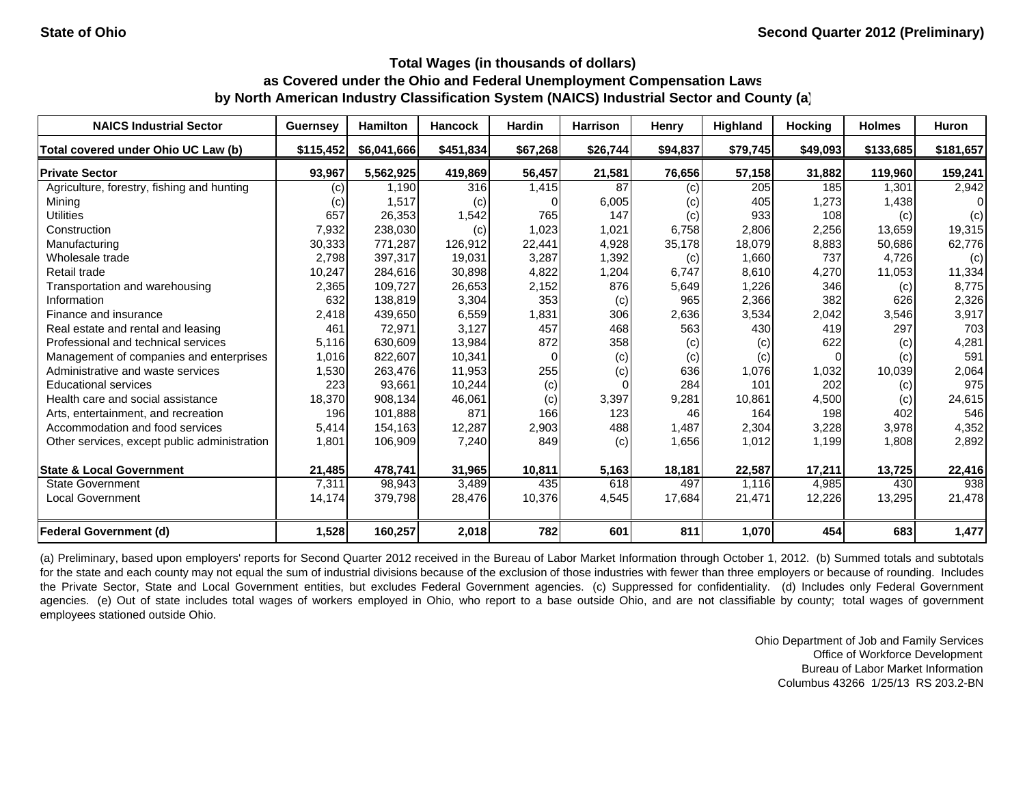| <b>NAICS Industrial Sector</b>               | <b>Guernsey</b>   | <b>Hamilton</b> | <b>Hancock</b> | <b>Hardin</b> | <b>Harrison</b> | Henry    | <b>Highland</b> | <b>Hocking</b> | <b>Holmes</b> | Huron     |
|----------------------------------------------|-------------------|-----------------|----------------|---------------|-----------------|----------|-----------------|----------------|---------------|-----------|
| Total covered under Ohio UC Law (b)          | \$115,452         | \$6,041,666     | \$451,834      | \$67,268      | \$26,744        | \$94,837 | \$79,745        | \$49,093       | \$133,685     | \$181,657 |
| <b>Private Sector</b>                        | 93,967            | 5,562,925       | 419,869        | 56,457        | 21,581          | 76,656   | 57,158          | 31,882         | 119,960       | 159,241   |
| Agriculture, forestry, fishing and hunting   | $\left( c\right)$ | 1,190           | 316            | 1,415         | 87              | (c)      | 205             | 185            | 1,301         | 2,942     |
| Mining                                       | (c)               | 1,517           | (c)            |               | 6,005           | (c)      | 405             | 1,273          | 1,438         | ΩI        |
| <b>Utilities</b>                             | 657               | 26,353          | 1,542          | 765           | 147             | (c)      | 933             | 108            | (c)           | (c)       |
| Construction                                 | 7,932             | 238,030         | (c)            | 1,023         | 1,021           | 6,758    | 2,806           | 2,256          | 13,659        | 19,315    |
| Manufacturing                                | 30,333            | 771,287         | 126,912        | 22,441        | 4,928           | 35,178   | 18,079          | 8,883          | 50,686        | 62,776    |
| Wholesale trade                              | 2,798             | 397,317         | 19,031         | 3,287         | 1,392           | (c)      | 1,660           | 737            | 4,726         | (c)       |
| Retail trade                                 | 10,247            | 284,616         | 30,898         | 4,822         | 1,204           | 6,747    | 8,610           | 4,270          | 11,053        | 11,334    |
| Transportation and warehousing               | 2,365             | 109,727         | 26,653         | 2,152         | 876             | 5,649    | 1,226           | 346            | (c)           | 8,775     |
| Information                                  | 632               | 138,819         | 3,304          | 353           | (c)             | 965      | 2,366           | 382            | 626           | 2,326     |
| Finance and insurance                        | 2,418             | 439,650         | 6,559          | 1,831         | 306             | 2,636    | 3,534           | 2,042          | 3,546         | 3,917     |
| Real estate and rental and leasing           | 461               | 72,971          | 3,127          | 457           | 468             | 563      | 430             | 419            | 297           | 703       |
| Professional and technical services          | 5,116             | 630.609         | 13,984         | 872           | 358             | (c)      | (c)             | 622            | (c)           | 4,281     |
| Management of companies and enterprises      | 1,016             | 822,607         | 10,341         | $\Omega$      | (c)             | (c)      | (c)             | $\Omega$       | (c)           | 591       |
| Administrative and waste services            | 1,530             | 263,476         | 11,953         | 255           | (c)             | 636      | 1,076           | 1,032          | 10,039        | 2,064     |
| <b>Educational services</b>                  | 223               | 93,661          | 10,244         | (c)           |                 | 284      | 101             | 202            | (c)           | 975       |
| Health care and social assistance            | 18,370            | 908.134         | 46,061         | (c)           | 3,397           | 9,281    | 10,861          | 4,500          | (c)           | 24,615    |
| Arts, entertainment, and recreation          | 196               | 101,888         | 871            | 166           | 123             | 46       | 164             | 198            | 402           | 546       |
| Accommodation and food services              | 5,414             | 154,163         | 12,287         | 2,903         | 488             | 1,487    | 2,304           | 3,228          | 3,978         | 4,352     |
| Other services, except public administration | 1,801             | 106,909         | 7,240          | 849           | (c)             | 1,656    | 1,012           | 1,199          | 1,808         | 2,892     |
| <b>State &amp; Local Government</b>          | 21,485            | 478,741         | 31,965         | 10,811        | 5,163           | 18,181   | 22,587          | 17,211         | 13,725        | 22,416    |
| <b>State Government</b>                      | 7,311             | 98,943          | 3,489          | 435           | 618             | 497      | 1,116           | 4,985          | 430           | 938       |
| <b>Local Government</b>                      | 14,174            | 379,798         | 28,476         | 10,376        | 4,545           | 17,684   | 21,471          | 12,226         | 13,295        | 21,478    |
| Federal Government (d)                       | 1,528             | 160,257         | 2,018          | 782           | 601             | 811      | 1,070           | 454            | 683           | 1,477     |

(a) Preliminary, based upon employers' reports for Second Quarter 2012 received in the Bureau of Labor Market Information through October 1, 2012. (b) Summed totals and subtotals for the state and each county may not equal the sum of industrial divisions because of the exclusion of those industries with fewer than three employers or because of rounding. Includes the Private Sector, State and Local Government entities, but excludes Federal Government agencies. (c) Suppressed for confidentiality. (d) Includes only Federal Government agencies. (e) Out of state includes total wages of workers employed in Ohio, who report to a base outside Ohio, and are not classifiable by county; total wages of government employees stationed outside Ohio.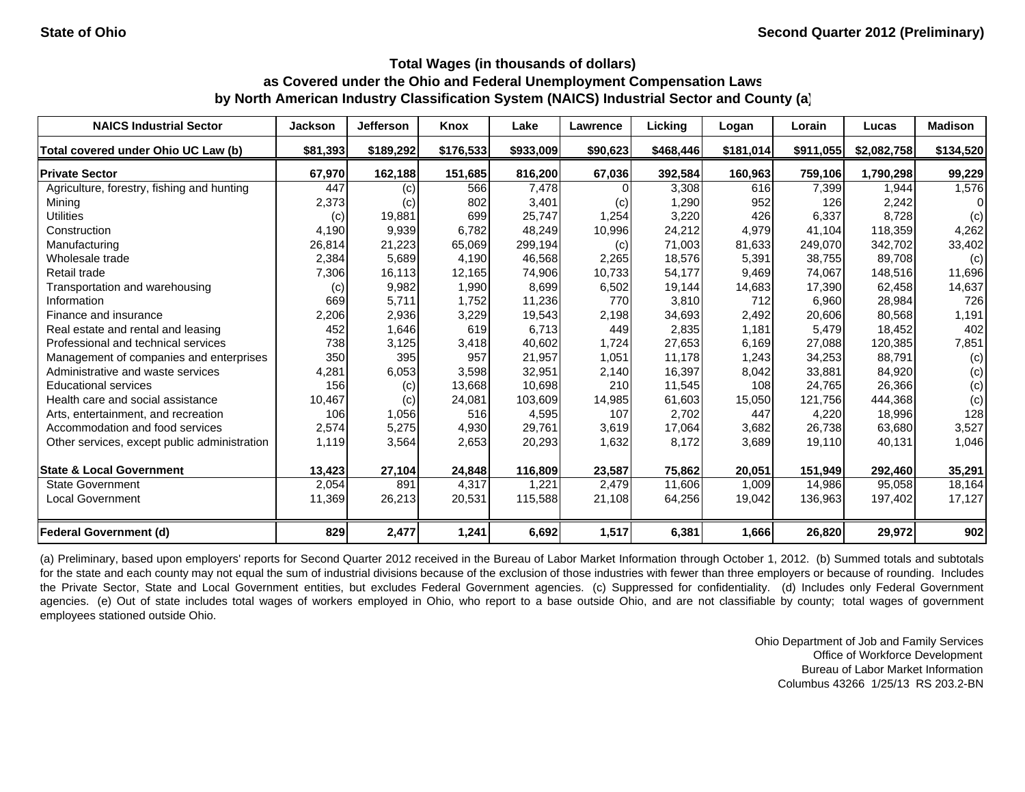| <b>NAICS Industrial Sector</b>               | <b>Jackson</b> | <b>Jefferson</b> | Knox      | Lake      | Lawrence | Licking   | Logan     | Lorain    | Lucas       | <b>Madison</b> |
|----------------------------------------------|----------------|------------------|-----------|-----------|----------|-----------|-----------|-----------|-------------|----------------|
| Total covered under Ohio UC Law (b)          | \$81,393       | \$189,292        | \$176,533 | \$933,009 | \$90,623 | \$468,446 | \$181.014 | \$911,055 | \$2,082,758 | \$134,520      |
| <b>Private Sector</b>                        | 67,970         | 162,188          | 151,685   | 816,200   | 67,036   | 392,584   | 160,963   | 759,106   | 1,790,298   | 99,229         |
| Agriculture, forestry, fishing and hunting   | 447            | (c)              | 566       | 7,478     |          | 3,308     | 616       | 7,399     | 1.944       | 1,576          |
| Mining                                       | 2,373          | (c)              | 802       | 3,401     | (c)      | 1,290     | 952       | 126       | 2,242       | 0              |
| <b>Utilities</b>                             | (c)            | 19,881           | 699       | 25,747    | 1,254    | 3,220     | 426       | 6,337     | 8,728       | (c)            |
| Construction                                 | 4,190          | 9,939            | 6,782     | 48.249    | 10,996   | 24,212    | 4,979     | 41.104    | 118.359     | 4,262          |
| Manufacturing                                | 26,814         | 21,223           | 65,069    | 299,194   | (c)      | 71,003    | 81,633    | 249,070   | 342,702     | 33,402         |
| Wholesale trade                              | 2,384          | 5,689            | 4,190     | 46,568    | 2,265    | 18,576    | 5,391     | 38,755    | 89,708      | (c)            |
| Retail trade                                 | 7,306          | 16,113           | 12,165    | 74,906    | 10,733   | 54,177    | 9,469     | 74,067    | 148,516     | 11,696         |
| Transportation and warehousing               | (c)            | 9,982            | 1,990     | 8,699     | 6,502    | 19,144    | 14,683    | 17,390    | 62,458      | 14,637         |
| Information                                  | 669            | 5,711            | 1,752     | 11,236    | 770      | 3,810     | 712       | 6.960     | 28,984      | 726            |
| Finance and insurance                        | 2,206          | 2,936            | 3,229     | 19,543    | 2,198    | 34,693    | 2,492     | 20,606    | 80,568      | 1,191          |
| Real estate and rental and leasing           | 452            | 1,646            | 619       | 6,713     | 449      | 2,835     | 1,181     | 5,479     | 18,452      | 402            |
| Professional and technical services          | 738            | 3,125            | 3,418     | 40,602    | 1,724    | 27,653    | 6,169     | 27,088    | 120,385     | 7,851          |
| Management of companies and enterprises      | 350            | 395              | 957       | 21,957    | 1,051    | 11,178    | 1,243     | 34,253    | 88,791      | (c)            |
| Administrative and waste services            | 4,281          | 6,053            | 3,598     | 32,951    | 2,140    | 16,397    | 8,042     | 33,881    | 84,920      | (c)            |
| <b>Educational services</b>                  | 156            | (c)              | 13,668    | 10,698    | 210      | 11,545    | 108       | 24,765    | 26,366      | (c)            |
| Health care and social assistance            | 10,467         | (c)              | 24,081    | 103,609   | 14,985   | 61,603    | 15,050    | 121,756   | 444,368     | (c)            |
| Arts, entertainment, and recreation          | 106            | 1,056            | 516       | 4,595     | 107      | 2,702     | 447       | 4,220     | 18,996      | 128            |
| Accommodation and food services              | 2,574          | 5,275            | 4,930     | 29,761    | 3,619    | 17,064    | 3,682     | 26,738    | 63,680      | 3,527          |
| Other services, except public administration | 1,119          | 3,564            | 2,653     | 20,293    | 1,632    | 8,172     | 3,689     | 19,110    | 40,131      | 1,046          |
| <b>State &amp; Local Government</b>          | 13,423         | 27,104           | 24,848    | 116,809   | 23,587   | 75,862    | 20,051    | 151,949   | 292,460     | 35,291         |
| <b>State Government</b>                      | 2,054          | 891              | 4,317     | ,221      | 2,479    | 11,606    | 1,009     | 14,986    | 95,058      | 18,164         |
| <b>Local Government</b>                      | 11,369         | 26,213           | 20,531    | 115,588   | 21,108   | 64,256    | 19,042    | 136,963   | 197,402     | 17,127         |
| Federal Government (d)                       | 829            | 2,477            | 1,241     | 6,692     | 1,517    | 6,381     | 1,666     | 26,820    | 29,972      | 902            |

(a) Preliminary, based upon employers' reports for Second Quarter 2012 received in the Bureau of Labor Market Information through October 1, 2012. (b) Summed totals and subtotals for the state and each county may not equal the sum of industrial divisions because of the exclusion of those industries with fewer than three employers or because of rounding. Includes the Private Sector, State and Local Government entities, but excludes Federal Government agencies. (c) Suppressed for confidentiality. (d) Includes only Federal Government agencies. (e) Out of state includes total wages of workers employed in Ohio, who report to a base outside Ohio, and are not classifiable by county; total wages of government employees stationed outside Ohio.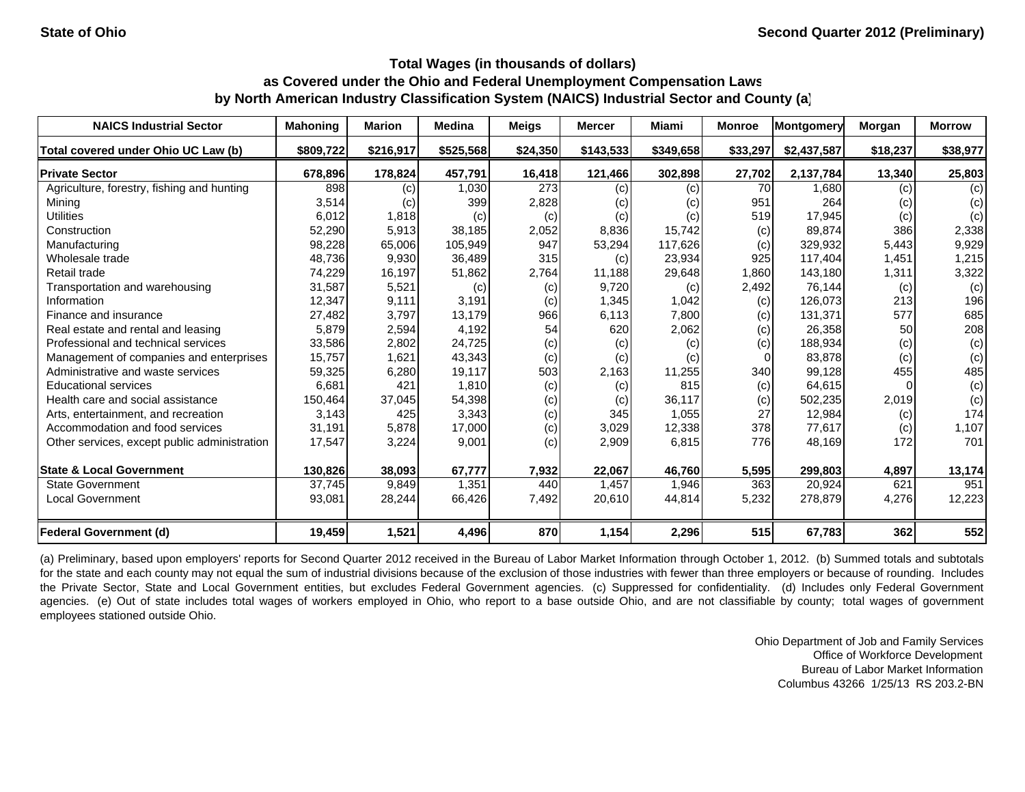| <b>NAICS Industrial Sector</b>               | <b>Mahoning</b> | <b>Marion</b> | <b>Medina</b> | <b>Meigs</b> | <b>Mercer</b> | <b>Miami</b> | <b>Monroe</b> | Montgomery  | Morgan   | <b>Morrow</b> |
|----------------------------------------------|-----------------|---------------|---------------|--------------|---------------|--------------|---------------|-------------|----------|---------------|
| Total covered under Ohio UC Law (b)          | \$809,722       | \$216,917     | \$525,568     | \$24,350     | \$143,533     | \$349,658    | \$33,297      | \$2,437,587 | \$18,237 | \$38,977      |
| <b>Private Sector</b>                        | 678,896         | 178,824       | 457,791       | 16,418       | 121,466       | 302,898      | 27,702        | 2,137,784   | 13,340   | 25,803        |
| Agriculture, forestry, fishing and hunting   | 898             | (c)           | 1,030         | 273          | (c)           | (c)          | 70            | 1,680       | (c)      | (c)           |
| Mining                                       | 3,514           | (c)           | 399           | 2,828        | (c)           | (c)          | 951           | 264         | (c)      | (c)           |
| <b>Utilities</b>                             | 6,012           | 1,818         | (c)           | (c)          | (c)           | (c)          | 519           | 17,945      | (c)      | (c)           |
| Construction                                 | 52,290          | 5,913         | 38,185        | 2,052        | 8,836         | 15,742       | (c)           | 89.874      | 386      | 2,338         |
| Manufacturing                                | 98,228          | 65,006        | 105,949       | 947          | 53,294        | 117,626      | (c)           | 329,932     | 5,443    | 9,929         |
| Wholesale trade                              | 48,736          | 9,930         | 36,489        | 315          | (c)           | 23,934       | 925           | 117,404     | 1,451    | 1,215         |
| Retail trade                                 | 74,229          | 16,197        | 51,862        | 2,764        | 11,188        | 29,648       | 1,860         | 143,180     | 1,311    | 3,322         |
| Transportation and warehousing               | 31,587          | 5,521         | (c)           | (c)          | 9,720         | (c)          | 2,492         | 76,144      | (c)      | (c)           |
| Information                                  | 12,347          | 9,111         | 3,191         | (c)          | 1,345         | 1,042        | (c)           | 126,073     | 213      | 196           |
| Finance and insurance                        | 27,482          | 3,797         | 13,179        | 966          | 6,113         | 7,800        | (c)           | 131,371     | 577      | 685           |
| Real estate and rental and leasing           | 5,879           | 2,594         | 4,192         | 54           | 620           | 2,062        | (c)           | 26,358      | 50       | 208           |
| Professional and technical services          | 33,586          | 2,802         | 24,725        | (c)          | (c)           | (c)          | (c)           | 188,934     | (c)      | (c)           |
| Management of companies and enterprises      | 15,757          | 1,621         | 43,343        | (c)          | (c)           | (c)          |               | 83,878      | (c)      | (c)           |
| Administrative and waste services            | 59,325          | 6,280         | 19,117        | 503          | 2,163         | 11,255       | 340           | 99,128      | 455      | 485           |
| <b>Educational services</b>                  | 6,681           | 421           | 1,810         | (c)          | (c)           | 815          | (c)           | 64,615      |          | (c)           |
| Health care and social assistance            | 150,464         | 37,045        | 54,398        | (c)          | (c)           | 36,117       | (c)           | 502,235     | 2,019    | (c)           |
| Arts, entertainment, and recreation          | 3,143           | 425           | 3,343         | (c)          | 345           | 1,055        | 27            | 12,984      | (c)      | 174           |
| Accommodation and food services              | 31,191          | 5,878         | 17,000        | (c)          | 3,029         | 12,338       | 378           | 77,617      | (c)      | 1,107         |
| Other services, except public administration | 17,547          | 3,224         | 9,001         | (c)          | 2,909         | 6,815        | 776           | 48,169      | 172      | 701           |
| <b>State &amp; Local Government</b>          | 130,826         | 38,093        | 67,777        | 7,932        | 22,067        | 46,760       | 5,595         | 299,803     | 4,897    | 13,174        |
| <b>State Government</b>                      | 37,745          | 9,849         | 1,351         | 440          | 1,457         | 1,946        | 363           | 20,924      | 621      | 951           |
| <b>Local Government</b>                      | 93,081          | 28,244        | 66,426        | 7,492        | 20,610        | 44,814       | 5,232         | 278,879     | 4,276    | 12,223        |
| Federal Government (d)                       | 19,459          | 1,521         | 4,496         | 870          | 1,154         | 2,296        | 515           | 67,783      | 362      | 552           |

(a) Preliminary, based upon employers' reports for Second Quarter 2012 received in the Bureau of Labor Market Information through October 1, 2012. (b) Summed totals and subtotals for the state and each county may not equal the sum of industrial divisions because of the exclusion of those industries with fewer than three employers or because of rounding. Includes the Private Sector, State and Local Government entities, but excludes Federal Government agencies. (c) Suppressed for confidentiality. (d) Includes only Federal Government agencies. (e) Out of state includes total wages of workers employed in Ohio, who report to a base outside Ohio, and are not classifiable by county; total wages of government employees stationed outside Ohio.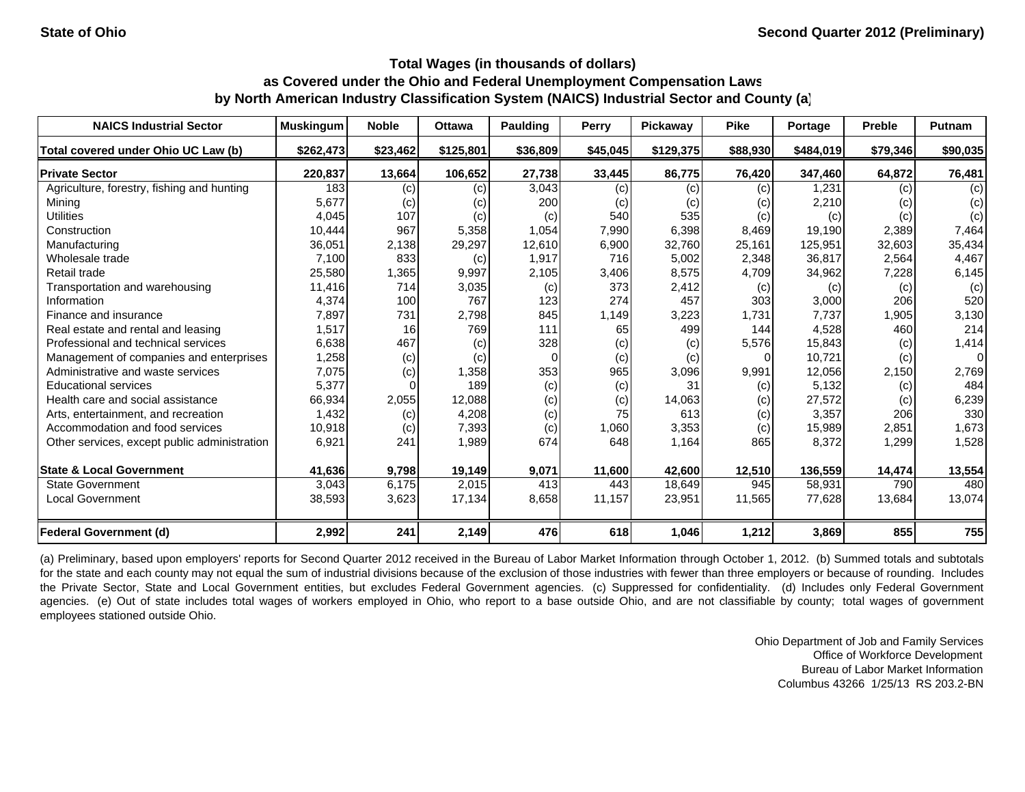| <b>NAICS Industrial Sector</b>               | <b>Muskingum</b> | <b>Noble</b> | <b>Ottawa</b> | Paulding | <b>Perry</b> | Pickaway  | <b>Pike</b> | Portage   | <b>Preble</b> | <b>Putnam</b>  |
|----------------------------------------------|------------------|--------------|---------------|----------|--------------|-----------|-------------|-----------|---------------|----------------|
| Total covered under Ohio UC Law (b)          | \$262,473        | \$23,462     | \$125,801     | \$36,809 | \$45,045     | \$129,375 | \$88,930    | \$484,019 | \$79,346      | \$90,035       |
| <b>Private Sector</b>                        | 220,837          | 13,664       | 106,652       | 27,738   | 33,445       | 86,775    | 76,420      | 347,460   | 64,872        | 76,481         |
| Agriculture, forestry, fishing and hunting   | 183              | (c)          | (c)           | 3,043    | (c)          | (c)       | (c)         | 1,231     | (c)           | (c)            |
| Mining                                       | 5,677            | (c)          | (c)           | 200      | (c)          | (c)       | (c)         | 2,210     | (c)           | (c)            |
| <b>Utilities</b>                             | 4,045            | 107          | (c)           | (c)      | 540          | 535       | (c)         | (c)       | (c)           | (c)            |
| Construction                                 | 10,444           | 967          | 5,358         | 1,054    | 7,990        | 6,398     | 8,469       | 19,190    | 2,389         | 7,464          |
| Manufacturing                                | 36,051           | 2,138        | 29,297        | 12,610   | 6,900        | 32,760    | 25,161      | 125,951   | 32,603        | 35,434         |
| Wholesale trade                              | 7,100            | 833          | (c)           | 1,917    | 716          | 5,002     | 2,348       | 36,817    | 2,564         | 4,467          |
| Retail trade                                 | 25,580           | 1,365        | 9,997         | 2,105    | 3,406        | 8,575     | 4,709       | 34,962    | 7,228         | 6,145          |
| Transportation and warehousing               | 11,416           | 714          | 3,035         | (c)      | 373          | 2,412     | (c)         | (c)       | (c)           | (c)            |
| Information                                  | 4,374            | 100          | 767           | 123      | 274          | 457       | 303         | 3,000     | 206           | 520            |
| Finance and insurance                        | 7,897            | 731          | 2,798         | 845      | 1,149        | 3,223     | 1.731       | 7,737     | 1,905         | 3,130          |
| Real estate and rental and leasing           | 1,517            | 16           | 769           | 111      | 65           | 499       | 144         | 4,528     | 460           | 214            |
| Professional and technical services          | 6,638            | 467          | (c)           | 328      | (c)          | (c)       | 5,576       | 15,843    | (c)           | 1,414          |
| Management of companies and enterprises      | 1,258            | (c)          | (c)           | $\Omega$ | (c)          | (c)       | 0           | 10,721    | (c)           | $\overline{0}$ |
| Administrative and waste services            | 7,075            | (c)          | 1,358         | 353      | 965          | 3,096     | 9,991       | 12,056    | 2,150         | 2,769          |
| <b>Educational services</b>                  | 5,377            |              | 189           | (c)      | (c)          | 31        | (c)         | 5,132     | (c)           | 484            |
| Health care and social assistance            | 66,934           | 2,055        | 12,088        | (c)      | (c)          | 14,063    | (c)         | 27,572    | (c)           | 6,239          |
| Arts, entertainment, and recreation          | 1,432            | (c)          | 4,208         | (c)      | 75           | 613       | (c)         | 3,357     | 206           | 330            |
| Accommodation and food services              | 10,918           | (c)          | 7,393         | (c)      | 1,060        | 3,353     | (c)         | 15,989    | 2,851         | 1,673          |
| Other services, except public administration | 6,921            | 241          | 1,989         | 674      | 648          | 1,164     | 865         | 8,372     | 1,299         | 1,528          |
| <b>State &amp; Local Government</b>          | 41,636           | 9,798        | 19,149        | 9,071    | 11,600       | 42,600    | 12,510      | 136,559   | 14,474        | 13,554         |
| <b>State Government</b>                      | 3,043            | 6,175        | 2,015         | 413      | 443          | 18,649    | 945         | 58,931    | 790           | 480            |
| <b>Local Government</b>                      | 38,593           | 3,623        | 17,134        | 8,658    | 11,157       | 23,951    | 11,565      | 77,628    | 13,684        | 13,074         |
| <b>Federal Government (d)</b>                | 2,992            | 241          | 2,149         | 476      | 618          | 1,046     | 1,212       | 3,869     | 855           | 755            |

(a) Preliminary, based upon employers' reports for Second Quarter 2012 received in the Bureau of Labor Market Information through October 1, 2012. (b) Summed totals and subtotals for the state and each county may not equal the sum of industrial divisions because of the exclusion of those industries with fewer than three employers or because of rounding. Includes the Private Sector, State and Local Government entities, but excludes Federal Government agencies. (c) Suppressed for confidentiality. (d) Includes only Federal Government agencies. (e) Out of state includes total wages of workers employed in Ohio, who report to a base outside Ohio, and are not classifiable by county; total wages of government employees stationed outside Ohio.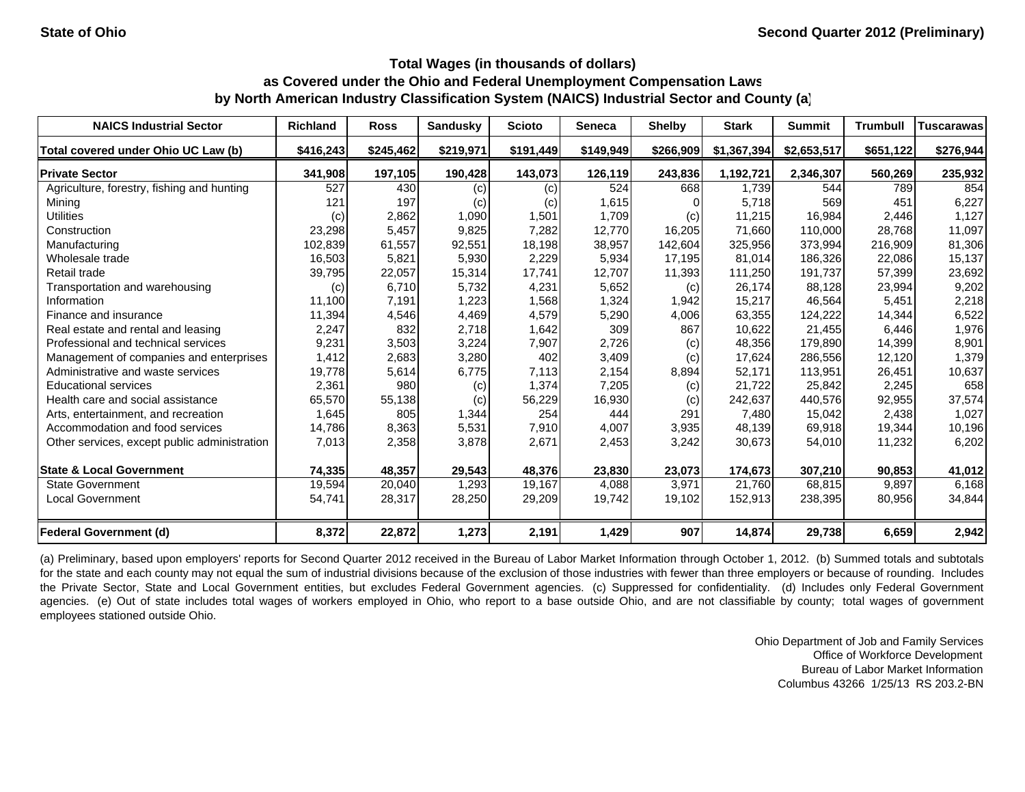| <b>NAICS Industrial Sector</b>               | <b>Richland</b> | <b>Ross</b> | Sandusky  | <b>Scioto</b> | <b>Seneca</b> | <b>Shelby</b> | <b>Stark</b> | <b>Summit</b> | <b>Trumbull</b> | <b>Tuscarawas</b> |
|----------------------------------------------|-----------------|-------------|-----------|---------------|---------------|---------------|--------------|---------------|-----------------|-------------------|
| Total covered under Ohio UC Law (b)          | \$416,243       | \$245,462   | \$219,971 | \$191,449     | \$149,949     | \$266,909     | \$1,367,394  | \$2,653,517   | \$651,122       | \$276,944         |
| <b>Private Sector</b>                        | 341,908         | 197,105     | 190,428   | 143,073       | 126,119       | 243,836       | 1,192,721    | 2,346,307     | 560,269         | 235,932           |
| Agriculture, forestry, fishing and hunting   | 527             | 430         | (c)       | (c)           | 524           | 668           | 1,739        | 544           | 789             | 854               |
| Mining                                       | 121             | 197         | (c)       | (c)           | 1,615         |               | 5,718        | 569           | 451             | 6,227             |
| <b>Utilities</b>                             | (c)             | 2,862       | 1,090     | 1,501         | 1,709         | (c)           | 11,215       | 16,984        | 2,446           | 1,127             |
| Construction                                 | 23,298          | 5,457       | 9,825     | 7,282         | 12,770        | 16,205        | 71.660       | 110,000       | 28.768          | 11,097            |
| Manufacturing                                | 102,839         | 61,557      | 92,551    | 18,198        | 38,957        | 142,604       | 325,956      | 373,994       | 216,909         | 81,306            |
| Wholesale trade                              | 16,503          | 5,821       | 5,930     | 2,229         | 5,934         | 17,195        | 81,014       | 186,326       | 22,086          | 15,137            |
| Retail trade                                 | 39,795          | 22,057      | 15,314    | 17,741        | 12,707        | 11,393        | 111,250      | 191,737       | 57,399          | 23,692            |
| Transportation and warehousing               | (c)             | 6,710       | 5,732     | 4,231         | 5,652         | (c)           | 26,174       | 88.128        | 23,994          | 9,202             |
| Information                                  | 11,100          | 7,191       | 1,223     | 1,568         | 1,324         | 1,942         | 15,217       | 46,564        | 5,451           | 2,218             |
| Finance and insurance                        | 11,394          | 4,546       | 4,469     | 4,579         | 5,290         | 4,006         | 63,355       | 124,222       | 14,344          | 6,522             |
| Real estate and rental and leasing           | 2,247           | 832         | 2,718     | 1,642         | 309           | 867           | 10,622       | 21,455        | 6,446           | 1,976             |
| Professional and technical services          | 9,231           | 3,503       | 3,224     | 7,907         | 2,726         | (c)           | 48,356       | 179,890       | 14,399          | 8,901             |
| Management of companies and enterprises      | 1,412           | 2,683       | 3,280     | 402           | 3,409         | (c)           | 17,624       | 286,556       | 12,120          | 1,379             |
| Administrative and waste services            | 19,778          | 5,614       | 6,775     | 7,113         | 2,154         | 8,894         | 52,171       | 113,951       | 26,451          | 10,637            |
| <b>Educational services</b>                  | 2,361           | 980         | (c)       | 1,374         | 7,205         | (c)           | 21.722       | 25,842        | 2,245           | 658               |
| Health care and social assistance            | 65,570          | 55,138      | (c)       | 56,229        | 16,930        | (c)           | 242,637      | 440,576       | 92,955          | 37,574            |
| Arts, entertainment, and recreation          | 1,645           | 805         | 1,344     | 254           | 444           | 291           | 7,480        | 15,042        | 2,438           | 1,027             |
| Accommodation and food services              | 14,786          | 8,363       | 5,531     | 7,910         | 4,007         | 3,935         | 48,139       | 69,918        | 19,344          | 10,196            |
| Other services, except public administration | 7,013           | 2,358       | 3,878     | 2,671         | 2,453         | 3,242         | 30,673       | 54,010        | 11,232          | 6,202             |
| <b>State &amp; Local Government</b>          | 74,335          | 48,357      | 29,543    | 48,376        | 23,830        | 23,073        | 174,673      | 307,210       | 90,853          | 41,012            |
| <b>State Government</b>                      | 19,594          | 20,040      | 1,293     | 19,167        | 4,088         | 3,971         | 21.760       | 68,815        | 9.897           | 6,168             |
| <b>Local Government</b>                      | 54,741          | 28,317      | 28,250    | 29,209        | 19,742        | 19,102        | 152,913      | 238,395       | 80,956          | 34,844            |
| <b>Federal Government (d)</b>                | 8,372           | 22,872      | 1,273     | 2,191         | 1,429         | 907           | 14,874       | 29,738        | 6,659           | 2,942             |

(a) Preliminary, based upon employers' reports for Second Quarter 2012 received in the Bureau of Labor Market Information through October 1, 2012. (b) Summed totals and subtotals for the state and each county may not equal the sum of industrial divisions because of the exclusion of those industries with fewer than three employers or because of rounding. Includes the Private Sector, State and Local Government entities, but excludes Federal Government agencies. (c) Suppressed for confidentiality. (d) Includes only Federal Government agencies. (e) Out of state includes total wages of workers employed in Ohio, who report to a base outside Ohio, and are not classifiable by county; total wages of government employees stationed outside Ohio.